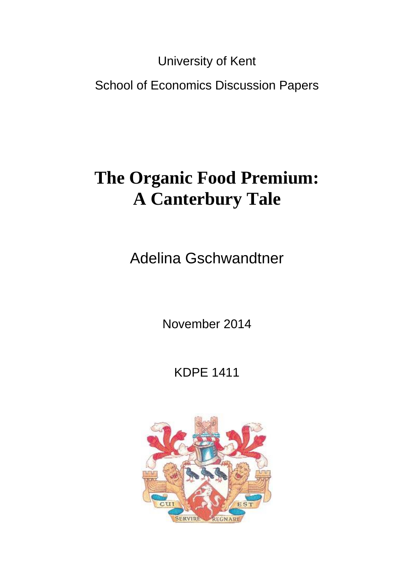University of Kent

School of Economics Discussion Papers

# **The Organic Food Premium: A Canterbury Tale**

Adelina Gschwandtner

November 2014

KDPE 1411

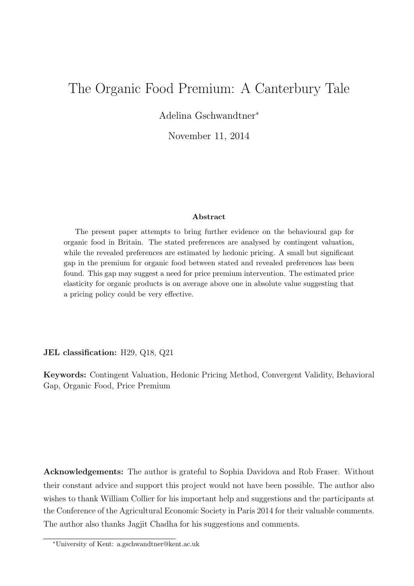## The Organic Food Premium: A Canterbury Tale

Adelina Gschwandtner<sup>∗</sup>

November 11, 2014

#### Abstract

The present paper attempts to bring further evidence on the behavioural gap for organic food in Britain. The stated preferences are analysed by contingent valuation, while the revealed preferences are estimated by hedonic pricing. A small but significant gap in the premium for organic food between stated and revealed preferences has been found. This gap may suggest a need for price premium intervention. The estimated price elasticity for organic products is on average above one in absolute value suggesting that a pricing policy could be very effective.

JEL classification: H29, Q18, Q21

Keywords: Contingent Valuation, Hedonic Pricing Method, Convergent Validity, Behavioral Gap, Organic Food, Price Premium

Acknowledgements: The author is grateful to Sophia Davidova and Rob Fraser. Without their constant advice and support this project would not have been possible. The author also wishes to thank William Collier for his important help and suggestions and the participants at the Conference of the Agricultural Economic Society in Paris 2014 for their valuable comments. The author also thanks Jagjit Chadha for his suggestions and comments.

<sup>∗</sup>University of Kent: a.gschwandtner@kent.ac.uk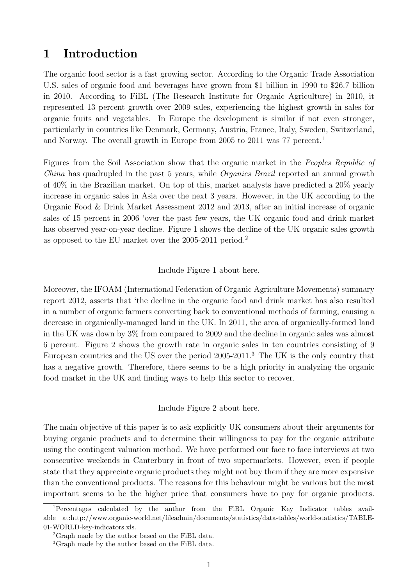## 1 Introduction

The organic food sector is a fast growing sector. According to the Organic Trade Association U.S. sales of organic food and beverages have grown from \$1 billion in 1990 to \$26.7 billion in 2010. According to FiBL (The Research Institute for Organic Agriculture) in 2010, it represented 13 percent growth over 2009 sales, experiencing the highest growth in sales for organic fruits and vegetables. In Europe the development is similar if not even stronger, particularly in countries like Denmark, Germany, Austria, France, Italy, Sweden, Switzerland, and Norway. The overall growth in Europe from 2005 to 2011 was 77 percent.<sup>1</sup>

Figures from the Soil Association show that the organic market in the Peoples Republic of China has quadrupled in the past 5 years, while *Organics Brazil* reported an annual growth of 40% in the Brazilian market. On top of this, market analysts have predicted a 20% yearly increase in organic sales in Asia over the next 3 years. However, in the UK according to the Organic Food & Drink Market Assessment 2012 and 2013, after an initial increase of organic sales of 15 percent in 2006 'over the past few years, the UK organic food and drink market has observed year-on-year decline. Figure 1 shows the decline of the UK organic sales growth as opposed to the EU market over the 2005-2011 period.<sup>2</sup>

Include Figure 1 about here.

Moreover, the IFOAM (International Federation of Organic Agriculture Movements) summary report 2012, asserts that 'the decline in the organic food and drink market has also resulted in a number of organic farmers converting back to conventional methods of farming, causing a decrease in organically-managed land in the UK. In 2011, the area of organically-farmed land in the UK was down by 3% from compared to 2009 and the decline in organic sales was almost 6 percent. Figure 2 shows the growth rate in organic sales in ten countries consisting of 9 European countries and the US over the period 2005-2011.<sup>3</sup> The UK is the only country that has a negative growth. Therefore, there seems to be a high priority in analyzing the organic food market in the UK and finding ways to help this sector to recover.

Include Figure 2 about here.

The main objective of this paper is to ask explicitly UK consumers about their arguments for buying organic products and to determine their willingness to pay for the organic attribute using the contingent valuation method. We have performed our face to face interviews at two consecutive weekends in Canterbury in front of two supermarkets. However, even if people state that they appreciate organic products they might not buy them if they are more expensive than the conventional products. The reasons for this behaviour might be various but the most important seems to be the higher price that consumers have to pay for organic products.

<sup>1</sup>Percentages calculated by the author from the FiBL Organic Key Indicator tables available at:http://www.organic-world.net/fileadmin/documents/statistics/data-tables/world-statistics/TABLE-01-WORLD-key-indicators.xls.

<sup>&</sup>lt;sup>2</sup>Graph made by the author based on the FiBL data.

<sup>&</sup>lt;sup>3</sup>Graph made by the author based on the FiBL data.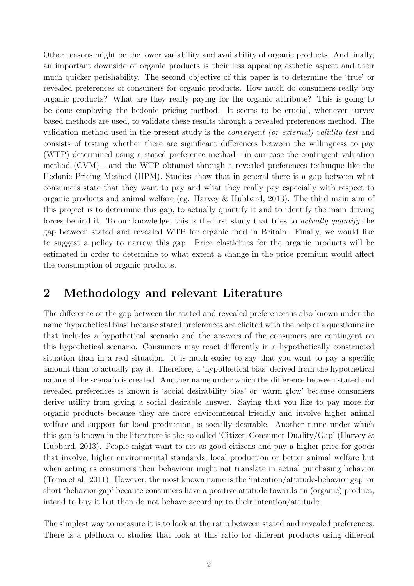Other reasons might be the lower variability and availability of organic products. And finally, an important downside of organic products is their less appealing esthetic aspect and their much quicker perishability. The second objective of this paper is to determine the 'true' or revealed preferences of consumers for organic products. How much do consumers really buy organic products? What are they really paying for the organic attribute? This is going to be done employing the hedonic pricing method. It seems to be crucial, whenever survey based methods are used, to validate these results through a revealed preferences method. The validation method used in the present study is the convergent (or external) validity test and consists of testing whether there are significant differences between the willingness to pay (WTP) determined using a stated preference method - in our case the contingent valuation method (CVM) - and the WTP obtained through a revealed preferences technique like the Hedonic Pricing Method (HPM). Studies show that in general there is a gap between what consumers state that they want to pay and what they really pay especially with respect to organic products and animal welfare (eg. Harvey & Hubbard, 2013). The third main aim of this project is to determine this gap, to actually quantify it and to identify the main driving forces behind it. To our knowledge, this is the first study that tries to actually quantify the gap between stated and revealed WTP for organic food in Britain. Finally, we would like to suggest a policy to narrow this gap. Price elasticities for the organic products will be estimated in order to determine to what extent a change in the price premium would affect the consumption of organic products.

## 2 Methodology and relevant Literature

The difference or the gap between the stated and revealed preferences is also known under the name 'hypothetical bias' because stated preferences are elicited with the help of a questionnaire that includes a hypothetical scenario and the answers of the consumers are contingent on this hypothetical scenario. Consumers may react differently in a hypothetically constructed situation than in a real situation. It is much easier to say that you want to pay a specific amount than to actually pay it. Therefore, a 'hypothetical bias' derived from the hypothetical nature of the scenario is created. Another name under which the difference between stated and revealed preferences is known is 'social desirability bias' or 'warm glow' because consumers derive utility from giving a social desirable answer. Saying that you like to pay more for organic products because they are more environmental friendly and involve higher animal welfare and support for local production, is socially desirable. Another name under which this gap is known in the literature is the so called 'Citizen-Consumer Duality/Gap' (Harvey & Hubbard, 2013). People might want to act as good citizens and pay a higher price for goods that involve, higher environmental standards, local production or better animal welfare but when acting as consumers their behaviour might not translate in actual purchasing behavior (Toma et al. 2011). However, the most known name is the 'intention/attitude-behavior gap' or short 'behavior gap' because consumers have a positive attitude towards an (organic) product, intend to buy it but then do not behave according to their intention/attitude.

The simplest way to measure it is to look at the ratio between stated and revealed preferences. There is a plethora of studies that look at this ratio for different products using different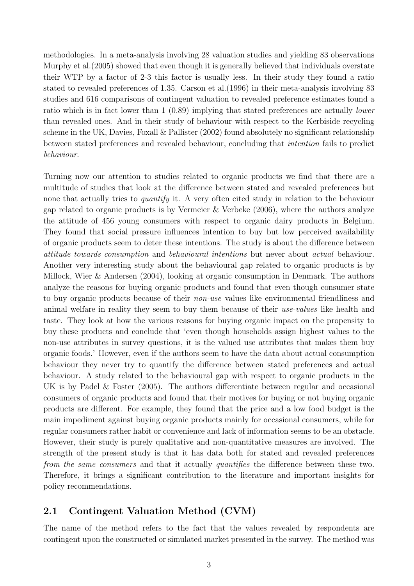methodologies. In a meta-analysis involving 28 valuation studies and yielding 83 observations Murphy et al.(2005) showed that even though it is generally believed that individuals overstate their WTP by a factor of 2-3 this factor is usually less. In their study they found a ratio stated to revealed preferences of 1.35. Carson et al.(1996) in their meta-analysis involving 83 studies and 616 comparisons of contingent valuation to revealed preference estimates found a ratio which is in fact lower than 1 (0.89) implying that stated preferences are actually lower than revealed ones. And in their study of behaviour with respect to the Kerbiside recycling scheme in the UK, Davies, Foxall & Pallister (2002) found absolutely no significant relationship between stated preferences and revealed behaviour, concluding that intention fails to predict behaviour.

Turning now our attention to studies related to organic products we find that there are a multitude of studies that look at the difference between stated and revealed preferences but none that actually tries to *quantify* it. A very often cited study in relation to the behaviour gap related to organic products is by Vermeier & Verbeke (2006), where the authors analyze the attitude of 456 young consumers with respect to organic dairy products in Belgium. They found that social pressure influences intention to buy but low perceived availability of organic products seem to deter these intentions. The study is about the difference between attitude towards consumption and behavioural intentions but never about actual behaviour. Another very interesting study about the behavioural gap related to organic products is by Millock, Wier & Andersen (2004), looking at organic consumption in Denmark. The authors analyze the reasons for buying organic products and found that even though consumer state to buy organic products because of their non-use values like environmental friendliness and animal welfare in reality they seem to buy them because of their use-values like health and taste. They look at how the various reasons for buying organic impact on the propensity to buy these products and conclude that 'even though households assign highest values to the non-use attributes in survey questions, it is the valued use attributes that makes them buy organic foods.' However, even if the authors seem to have the data about actual consumption behaviour they never try to quantify the difference between stated preferences and actual behaviour. A study related to the behavioural gap with respect to organic products in the UK is by Padel & Foster (2005). The authors differentiate between regular and occasional consumers of organic products and found that their motives for buying or not buying organic products are different. For example, they found that the price and a low food budget is the main impediment against buying organic products mainly for occasional consumers, while for regular consumers rather habit or convenience and lack of information seems to be an obstacle. However, their study is purely qualitative and non-quantitative measures are involved. The strength of the present study is that it has data both for stated and revealed preferences from the same consumers and that it actually quantifies the difference between these two. Therefore, it brings a significant contribution to the literature and important insights for policy recommendations.

## 2.1 Contingent Valuation Method (CVM)

The name of the method refers to the fact that the values revealed by respondents are contingent upon the constructed or simulated market presented in the survey. The method was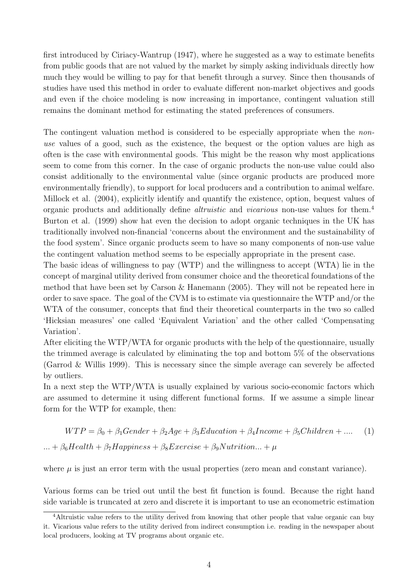first introduced by Ciriacy-Wantrup (1947), where he suggested as a way to estimate benefits from public goods that are not valued by the market by simply asking individuals directly how much they would be willing to pay for that benefit through a survey. Since then thousands of studies have used this method in order to evaluate different non-market objectives and goods and even if the choice modeling is now increasing in importance, contingent valuation still remains the dominant method for estimating the stated preferences of consumers.

The contingent valuation method is considered to be especially appropriate when the *non*use values of a good, such as the existence, the bequest or the option values are high as often is the case with environmental goods. This might be the reason why most applications seem to come from this corner. In the case of organic products the non-use value could also consist additionally to the environmental value (since organic products are produced more environmentally friendly), to support for local producers and a contribution to animal welfare. Millock et al. (2004), explicitly identify and quantify the existence, option, bequest values of organic products and additionally define altruistic and vicarious non-use values for them.<sup>4</sup> Burton et al. (1999) show hat even the decision to adopt organic techniques in the UK has traditionally involved non-financial 'concerns about the environment and the sustainability of the food system'. Since organic products seem to have so many components of non-use value the contingent valuation method seems to be especially appropriate in the present case.

The basic ideas of willingness to pay (WTP) and the willingness to accept (WTA) lie in the concept of marginal utility derived from consumer choice and the theoretical foundations of the method that have been set by Carson & Hanemann (2005). They will not be repeated here in order to save space. The goal of the CVM is to estimate via questionnaire the WTP and/or the WTA of the consumer, concepts that find their theoretical counterparts in the two so called 'Hicksian measures' one called 'Equivalent Variation' and the other called 'Compensating Variation'.

After eliciting the WTP/WTA for organic products with the help of the questionnaire, usually the trimmed average is calculated by eliminating the top and bottom 5% of the observations (Garrod & Willis 1999). This is necessary since the simple average can severely be affected by outliers.

In a next step the WTP/WTA is usually explained by various socio-economic factors which are assumed to determine it using different functional forms. If we assume a simple linear form for the WTP for example, then:

$$
WTP = \beta_0 + \beta_1 \text{Gender} + \beta_2 \text{Age} + \beta_3 \text{E} \text{ducation} + \beta_4 \text{Income} + \beta_5 \text{Children} + \dots \quad (1)
$$
  

$$
\dots + \beta_6 \text{Health} + \beta_7 \text{Happings} + \beta_8 \text{Exercise} + \beta_9 \text{Nutrition} \dots + \mu
$$

where  $\mu$  is just an error term with the usual properties (zero mean and constant variance).

Various forms can be tried out until the best fit function is found. Because the right hand side variable is truncated at zero and discrete it is important to use an econometric estimation

<sup>4</sup>Altruistic value refers to the utility derived from knowing that other people that value organic can buy it. Vicarious value refers to the utility derived from indirect consumption i.e. reading in the newspaper about local producers, looking at TV programs about organic etc.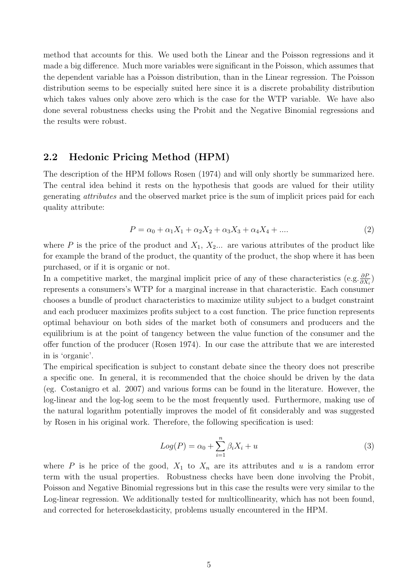method that accounts for this. We used both the Linear and the Poisson regressions and it made a big difference. Much more variables were significant in the Poisson, which assumes that the dependent variable has a Poisson distribution, than in the Linear regression. The Poisson distribution seems to be especially suited here since it is a discrete probability distribution which takes values only above zero which is the case for the WTP variable. We have also done several robustness checks using the Probit and the Negative Binomial regressions and the results were robust.

### 2.2 Hedonic Pricing Method (HPM)

The description of the HPM follows Rosen (1974) and will only shortly be summarized here. The central idea behind it rests on the hypothesis that goods are valued for their utility generating attributes and the observed market price is the sum of implicit prices paid for each quality attribute:

$$
P = \alpha_0 + \alpha_1 X_1 + \alpha_2 X_2 + \alpha_3 X_3 + \alpha_4 X_4 + \dots
$$
 (2)

where P is the price of the product and  $X_1, X_2, \ldots$  are various attributes of the product like for example the brand of the product, the quantity of the product, the shop where it has been purchased, or if it is organic or not.

In a competitive market, the marginal implicit price of any of these characteristics (e.g.  $\frac{\partial P}{\partial X_i}$ ) represents a consumers's WTP for a marginal increase in that characteristic. Each consumer chooses a bundle of product characteristics to maximize utility subject to a budget constraint and each producer maximizes profits subject to a cost function. The price function represents optimal behaviour on both sides of the market both of consumers and producers and the equilibrium is at the point of tangency between the value function of the consumer and the offer function of the producer (Rosen 1974). In our case the attribute that we are interested in is 'organic'.

The empirical specification is subject to constant debate since the theory does not prescribe a specific one. In general, it is recommended that the choice should be driven by the data (eg. Costanigro et al. 2007) and various forms can be found in the literature. However, the log-linear and the log-log seem to be the most frequently used. Furthermore, making use of the natural logarithm potentially improves the model of fit considerably and was suggested by Rosen in his original work. Therefore, the following specification is used:

$$
Log(P) = \alpha_0 + \sum_{i=1}^{n} \beta_i X_i + u \tag{3}
$$

where P is he price of the good,  $X_1$  to  $X_n$  are its attributes and u is a random error term with the usual properties. Robustness checks have been done involving the Probit, Poisson and Negative Binomial regressions but in this case the results were very similar to the Log-linear regression. We additionally tested for multicollinearity, which has not been found, and corrected for heterosekdasticity, problems usually encountered in the HPM.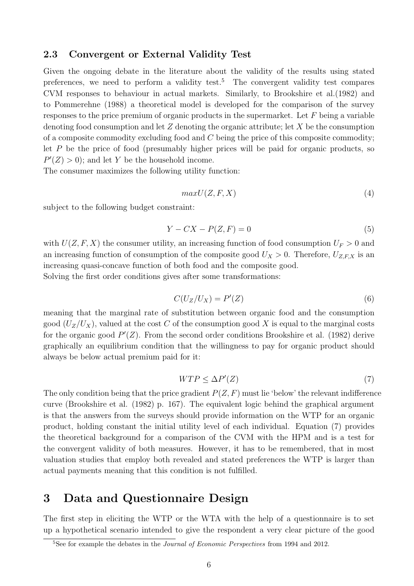#### 2.3 Convergent or External Validity Test

Given the ongoing debate in the literature about the validity of the results using stated preferences, we need to perform a validity test.<sup>5</sup> The convergent validity test compares CVM responses to behaviour in actual markets. Similarly, to Brookshire et al.(1982) and to Pommerehne (1988) a theoretical model is developed for the comparison of the survey responses to the price premium of organic products in the supermarket. Let  $F$  being a variable denoting food consumption and let  $Z$  denoting the organic attribute; let  $X$  be the consumption of a composite commodity excluding food and  $C$  being the price of this composite commodity; let  $P$  be the price of food (presumably higher prices will be paid for organic products, so  $P'(Z) > 0$ ; and let Y be the household income.

The consumer maximizes the following utility function:

$$
maxU(Z, F, X) \tag{4}
$$

subject to the following budget constraint:

$$
Y - CX - P(Z, F) = 0 \tag{5}
$$

with  $U(Z, F, X)$  the consumer utility, an increasing function of food consumption  $U_F > 0$  and an increasing function of consumption of the composite good  $U_X > 0$ . Therefore,  $U_{Z,F,X}$  is an increasing quasi-concave function of both food and the composite good.

Solving the first order conditions gives after some transformations:

$$
C(U_Z/U_X) = P'(Z) \tag{6}
$$

meaning that the marginal rate of substitution between organic food and the consumption good  $(U_Z/U_X)$ , valued at the cost C of the consumption good X is equal to the marginal costs for the organic good  $P'(Z)$ . From the second order conditions Brookshire et al. (1982) derive graphically an equilibrium condition that the willingness to pay for organic product should always be below actual premium paid for it:

$$
WTP \le \Delta P'(Z) \tag{7}
$$

The only condition being that the price gradient  $P(Z, F)$  must lie 'below' the relevant indifference curve (Brookshire et al. (1982) p. 167). The equivalent logic behind the graphical argument is that the answers from the surveys should provide information on the WTP for an organic product, holding constant the initial utility level of each individual. Equation (7) provides the theoretical background for a comparison of the CVM with the HPM and is a test for the convergent validity of both measures. However, it has to be remembered, that in most valuation studies that employ both revealed and stated preferences the WTP is larger than actual payments meaning that this condition is not fulfilled.

## 3 Data and Questionnaire Design

The first step in eliciting the WTP or the WTA with the help of a questionnaire is to set up a hypothetical scenario intended to give the respondent a very clear picture of the good

 $5$ See for example the debates in the *Journal of Economic Perspectives* from 1994 and 2012.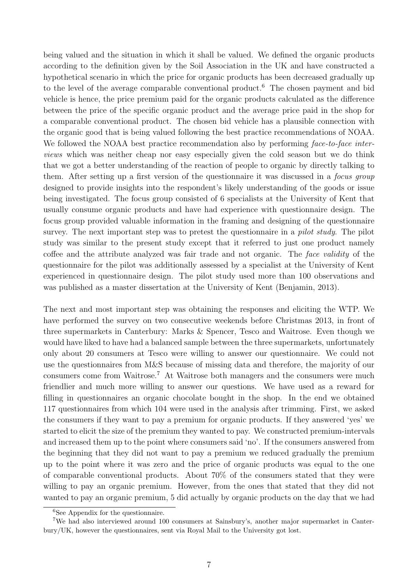being valued and the situation in which it shall be valued. We defined the organic products according to the definition given by the Soil Association in the UK and have constructed a hypothetical scenario in which the price for organic products has been decreased gradually up to the level of the average comparable conventional product.<sup>6</sup> The chosen payment and bid vehicle is hence, the price premium paid for the organic products calculated as the difference between the price of the specific organic product and the average price paid in the shop for a comparable conventional product. The chosen bid vehicle has a plausible connection with the organic good that is being valued following the best practice recommendations of NOAA. We followed the NOAA best practice recommendation also by performing face-to-face interviews which was neither cheap nor easy especially given the cold season but we do think that we got a better understanding of the reaction of people to organic by directly talking to them. After setting up a first version of the questionnaire it was discussed in a focus group designed to provide insights into the respondent's likely understanding of the goods or issue being investigated. The focus group consisted of 6 specialists at the University of Kent that usually consume organic products and have had experience with questionnaire design. The focus group provided valuable information in the framing and designing of the questionnaire survey. The next important step was to pretest the questionnaire in a *pilot study*. The pilot study was similar to the present study except that it referred to just one product namely coffee and the attribute analyzed was fair trade and not organic. The face validity of the questionnaire for the pilot was additionally assessed by a specialist at the University of Kent experienced in questionnaire design. The pilot study used more than 100 observations and was published as a master dissertation at the University of Kent (Benjamin, 2013).

The next and most important step was obtaining the responses and eliciting the WTP. We have performed the survey on two consecutive weekends before Christmas 2013, in front of three supermarkets in Canterbury: Marks & Spencer, Tesco and Waitrose. Even though we would have liked to have had a balanced sample between the three supermarkets, unfortunately only about 20 consumers at Tesco were willing to answer our questionnaire. We could not use the questionnaires from M&S because of missing data and therefore, the majority of our consumers come from Waitrose.<sup>7</sup> At Waitrose both managers and the consumers were much friendlier and much more willing to answer our questions. We have used as a reward for filling in questionnaires an organic chocolate bought in the shop. In the end we obtained 117 questionnaires from which 104 were used in the analysis after trimming. First, we asked the consumers if they want to pay a premium for organic products. If they answered 'yes' we started to elicit the size of the premium they wanted to pay. We constructed premium-intervals and increased them up to the point where consumers said 'no'. If the consumers answered from the beginning that they did not want to pay a premium we reduced gradually the premium up to the point where it was zero and the price of organic products was equal to the one of comparable conventional products. About 70% of the consumers stated that they were willing to pay an organic premium. However, from the ones that stated that they did not wanted to pay an organic premium, 5 did actually by organic products on the day that we had

<sup>&</sup>lt;sup>6</sup>See Appendix for the questionnaire.

<sup>7</sup>We had also interviewed around 100 consumers at Sainsbury's, another major supermarket in Canterbury/UK, however the questionnaires, sent via Royal Mail to the University got lost.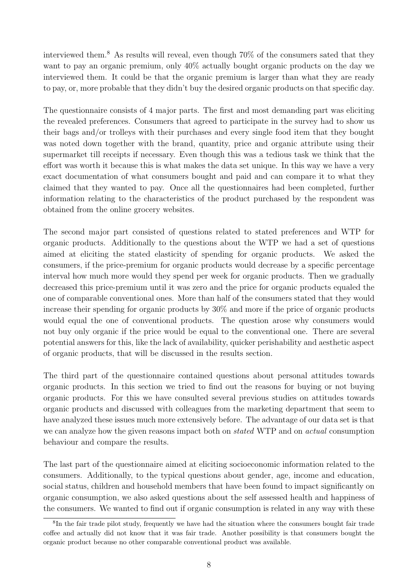interviewed them.<sup>8</sup> As results will reveal, even though  $70\%$  of the consumers sated that they want to pay an organic premium, only 40% actually bought organic products on the day we interviewed them. It could be that the organic premium is larger than what they are ready to pay, or, more probable that they didn't buy the desired organic products on that specific day.

The questionnaire consists of 4 major parts. The first and most demanding part was eliciting the revealed preferences. Consumers that agreed to participate in the survey had to show us their bags and/or trolleys with their purchases and every single food item that they bought was noted down together with the brand, quantity, price and organic attribute using their supermarket till receipts if necessary. Even though this was a tedious task we think that the effort was worth it because this is what makes the data set unique. In this way we have a very exact documentation of what consumers bought and paid and can compare it to what they claimed that they wanted to pay. Once all the questionnaires had been completed, further information relating to the characteristics of the product purchased by the respondent was obtained from the online grocery websites.

The second major part consisted of questions related to stated preferences and WTP for organic products. Additionally to the questions about the WTP we had a set of questions aimed at eliciting the stated elasticity of spending for organic products. We asked the consumers, if the price-premium for organic products would decrease by a specific percentage interval how much more would they spend per week for organic products. Then we gradually decreased this price-premium until it was zero and the price for organic products equaled the one of comparable conventional ones. More than half of the consumers stated that they would increase their spending for organic products by 30% and more if the price of organic products would equal the one of conventional products. The question arose why consumers would not buy only organic if the price would be equal to the conventional one. There are several potential answers for this, like the lack of availability, quicker perishability and aesthetic aspect of organic products, that will be discussed in the results section.

The third part of the questionnaire contained questions about personal attitudes towards organic products. In this section we tried to find out the reasons for buying or not buying organic products. For this we have consulted several previous studies on attitudes towards organic products and discussed with colleagues from the marketing department that seem to have analyzed these issues much more extensively before. The advantage of our data set is that we can analyze how the given reasons impact both on *stated* WTP and on *actual* consumption behaviour and compare the results.

The last part of the questionnaire aimed at eliciting socioeconomic information related to the consumers. Additionally, to the typical questions about gender, age, income and education, social status, children and household members that have been found to impact significantly on organic consumption, we also asked questions about the self assessed health and happiness of the consumers. We wanted to find out if organic consumption is related in any way with these

<sup>&</sup>lt;sup>8</sup>In the fair trade pilot study, frequently we have had the situation where the consumers bought fair trade coffee and actually did not know that it was fair trade. Another possibility is that consumers bought the organic product because no other comparable conventional product was available.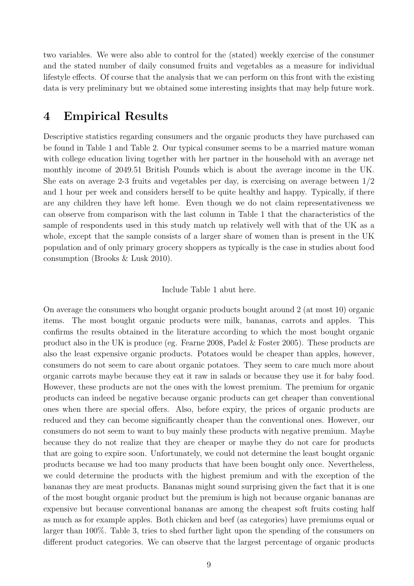two variables. We were also able to control for the (stated) weekly exercise of the consumer and the stated number of daily consumed fruits and vegetables as a measure for individual lifestyle effects. Of course that the analysis that we can perform on this front with the existing data is very preliminary but we obtained some interesting insights that may help future work.

## 4 Empirical Results

Descriptive statistics regarding consumers and the organic products they have purchased can be found in Table 1 and Table 2. Our typical consumer seems to be a married mature woman with college education living together with her partner in the household with an average net monthly income of 2049.51 British Pounds which is about the average income in the UK. She eats on average 2-3 fruits and vegetables per day, is exercising on average between 1/2 and 1 hour per week and considers herself to be quite healthy and happy. Typically, if there are any children they have left home. Even though we do not claim representativeness we can observe from comparison with the last column in Table 1 that the characteristics of the sample of respondents used in this study match up relatively well with that of the UK as a whole, except that the sample consists of a larger share of women than is present in the UK population and of only primary grocery shoppers as typically is the case in studies about food consumption (Brooks & Lusk 2010).

#### Include Table 1 abut here.

On average the consumers who bought organic products bought around 2 (at most 10) organic items. The most bought organic products were milk, bananas, carrots and apples. This confirms the results obtained in the literature according to which the most bought organic product also in the UK is produce (eg. Fearne 2008, Padel & Foster 2005). These products are also the least expensive organic products. Potatoes would be cheaper than apples, however, consumers do not seem to care about organic potatoes. They seem to care much more about organic carrots maybe because they eat it raw in salads or because they use it for baby food. However, these products are not the ones with the lowest premium. The premium for organic products can indeed be negative because organic products can get cheaper than conventional ones when there are special offers. Also, before expiry, the prices of organic products are reduced and they can become significantly cheaper than the conventional ones. However, our consumers do not seem to want to buy mainly these products with negative premium. Maybe because they do not realize that they are cheaper or maybe they do not care for products that are going to expire soon. Unfortunately, we could not determine the least bought organic products because we had too many products that have been bought only once. Nevertheless, we could determine the products with the highest premium and with the exception of the bananas they are meat products. Bananas might sound surprising given the fact that it is one of the most bought organic product but the premium is high not because organic bananas are expensive but because conventional bananas are among the cheapest soft fruits costing half as much as for example apples. Both chicken and beef (as categories) have premiums equal or larger than 100%. Table 3, tries to shed further light upon the spending of the consumers on different product categories. We can observe that the largest percentage of organic products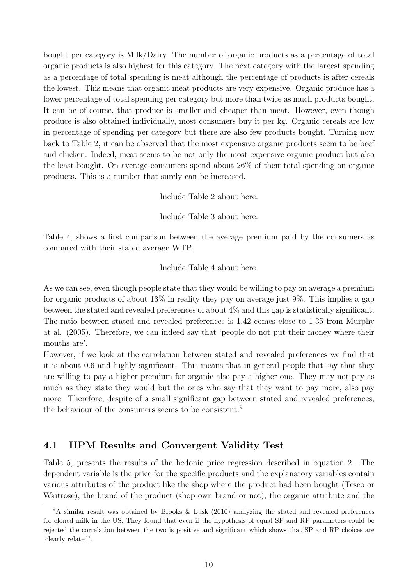bought per category is Milk/Dairy. The number of organic products as a percentage of total organic products is also highest for this category. The next category with the largest spending as a percentage of total spending is meat although the percentage of products is after cereals the lowest. This means that organic meat products are very expensive. Organic produce has a lower percentage of total spending per category but more than twice as much products bought. It can be of course, that produce is smaller and cheaper than meat. However, even though produce is also obtained individually, most consumers buy it per kg. Organic cereals are low in percentage of spending per category but there are also few products bought. Turning now back to Table 2, it can be observed that the most expensive organic products seem to be beef and chicken. Indeed, meat seems to be not only the most expensive organic product but also the least bought. On average consumers spend about 26% of their total spending on organic products. This is a number that surely can be increased.

Include Table 2 about here.

Include Table 3 about here.

Table 4, shows a first comparison between the average premium paid by the consumers as compared with their stated average WTP.

Include Table 4 about here.

As we can see, even though people state that they would be willing to pay on average a premium for organic products of about 13% in reality they pay on average just 9%. This implies a gap between the stated and revealed preferences of about 4% and this gap is statistically significant. The ratio between stated and revealed preferences is 1.42 comes close to 1.35 from Murphy at al. (2005). Therefore, we can indeed say that 'people do not put their money where their mouths are'.

However, if we look at the correlation between stated and revealed preferences we find that it is about 0.6 and highly significant. This means that in general people that say that they are willing to pay a higher premium for organic also pay a higher one. They may not pay as much as they state they would but the ones who say that they want to pay more, also pay more. Therefore, despite of a small significant gap between stated and revealed preferences, the behaviour of the consumers seems to be consistent.<sup>9</sup>

## 4.1 HPM Results and Convergent Validity Test

Table 5, presents the results of the hedonic price regression described in equation 2. The dependent variable is the price for the specific products and the explanatory variables contain various attributes of the product like the shop where the product had been bought (Tesco or Waitrose), the brand of the product (shop own brand or not), the organic attribute and the

<sup>9</sup>A similar result was obtained by Brooks & Lusk (2010) analyzing the stated and revealed preferences for cloned milk in the US. They found that even if the hypothesis of equal SP and RP parameters could be rejected the correlation between the two is positive and significant which shows that SP and RP choices are 'clearly related'.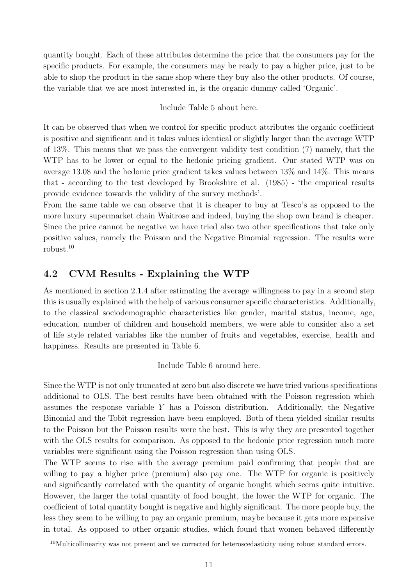quantity bought. Each of these attributes determine the price that the consumers pay for the specific products. For example, the consumers may be ready to pay a higher price, just to be able to shop the product in the same shop where they buy also the other products. Of course, the variable that we are most interested in, is the organic dummy called 'Organic'.

Include Table 5 about here.

It can be observed that when we control for specific product attributes the organic coefficient is positive and significant and it takes values identical or slightly larger than the average WTP of 13%. This means that we pass the convergent validity test condition (7) namely, that the WTP has to be lower or equal to the hedonic pricing gradient. Our stated WTP was on average 13.08 and the hedonic price gradient takes values between 13% and 14%. This means that - according to the test developed by Brookshire et al. (1985) - 'the empirical results provide evidence towards the validity of the survey methods'.

From the same table we can observe that it is cheaper to buy at Tesco's as opposed to the more luxury supermarket chain Waitrose and indeed, buying the shop own brand is cheaper. Since the price cannot be negative we have tried also two other specifications that take only positive values, namely the Poisson and the Negative Binomial regression. The results were robust.<sup>10</sup>

## 4.2 CVM Results - Explaining the WTP

As mentioned in section 2.1.4 after estimating the average willingness to pay in a second step this is usually explained with the help of various consumer specific characteristics. Additionally, to the classical sociodemographic characteristics like gender, marital status, income, age, education, number of children and household members, we were able to consider also a set of life style related variables like the number of fruits and vegetables, exercise, health and happiness. Results are presented in Table 6.

Include Table 6 around here.

Since the WTP is not only truncated at zero but also discrete we have tried various specifications additional to OLS. The best results have been obtained with the Poisson regression which assumes the response variable  $Y$  has a Poisson distribution. Additionally, the Negative Binomial and the Tobit regression have been employed. Both of them yielded similar results to the Poisson but the Poisson results were the best. This is why they are presented together with the OLS results for comparison. As opposed to the hedonic price regression much more variables were significant using the Poisson regression than using OLS.

The WTP seems to rise with the average premium paid confirming that people that are willing to pay a higher price (premium) also pay one. The WTP for organic is positively and significantly correlated with the quantity of organic bought which seems quite intuitive. However, the larger the total quantity of food bought, the lower the WTP for organic. The coefficient of total quantity bought is negative and highly significant. The more people buy, the less they seem to be willing to pay an organic premium, maybe because it gets more expensive in total. As opposed to other organic studies, which found that women behaved differently

 $10$ Multicollinearity was not present and we corrected for heteroscedasticity using robust standard errors.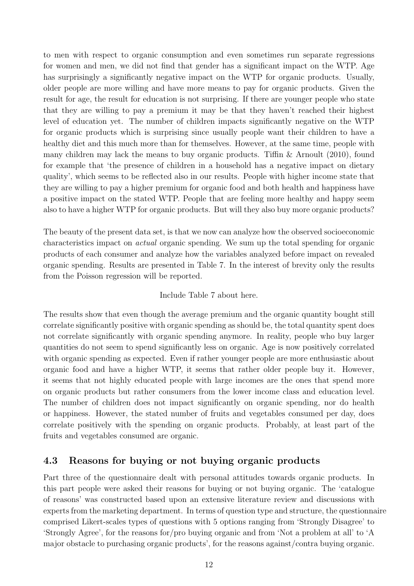to men with respect to organic consumption and even sometimes run separate regressions for women and men, we did not find that gender has a significant impact on the WTP. Age has surprisingly a significantly negative impact on the WTP for organic products. Usually, older people are more willing and have more means to pay for organic products. Given the result for age, the result for education is not surprising. If there are younger people who state that they are willing to pay a premium it may be that they haven't reached their highest level of education yet. The number of children impacts significantly negative on the WTP for organic products which is surprising since usually people want their children to have a healthy diet and this much more than for themselves. However, at the same time, people with many children may lack the means to buy organic products. Tiffin & Arnoult (2010), found for example that 'the presence of children in a household has a negative impact on dietary quality', which seems to be reflected also in our results. People with higher income state that they are willing to pay a higher premium for organic food and both health and happiness have a positive impact on the stated WTP. People that are feeling more healthy and happy seem also to have a higher WTP for organic products. But will they also buy more organic products?

The beauty of the present data set, is that we now can analyze how the observed socioeconomic characteristics impact on actual organic spending. We sum up the total spending for organic products of each consumer and analyze how the variables analyzed before impact on revealed organic spending. Results are presented in Table 7. In the interest of brevity only the results from the Poisson regression will be reported.

#### Include Table 7 about here.

The results show that even though the average premium and the organic quantity bought still correlate significantly positive with organic spending as should be, the total quantity spent does not correlate significantly with organic spending anymore. In reality, people who buy larger quantities do not seem to spend significantly less on organic. Age is now positively correlated with organic spending as expected. Even if rather younger people are more enthusiastic about organic food and have a higher WTP, it seems that rather older people buy it. However, it seems that not highly educated people with large incomes are the ones that spend more on organic products but rather consumers from the lower income class and education level. The number of children does not impact significantly on organic spending, nor do health or happiness. However, the stated number of fruits and vegetables consumed per day, does correlate positively with the spending on organic products. Probably, at least part of the fruits and vegetables consumed are organic.

## 4.3 Reasons for buying or not buying organic products

Part three of the questionnaire dealt with personal attitudes towards organic products. In this part people were asked their reasons for buying or not buying organic. The 'catalogue of reasons' was constructed based upon an extensive literature review and discussions with experts from the marketing department. In terms of question type and structure, the questionnaire comprised Likert-scales types of questions with 5 options ranging from 'Strongly Disagree' to 'Strongly Agree', for the reasons for/pro buying organic and from 'Not a problem at all' to 'A major obstacle to purchasing organic products', for the reasons against/contra buying organic.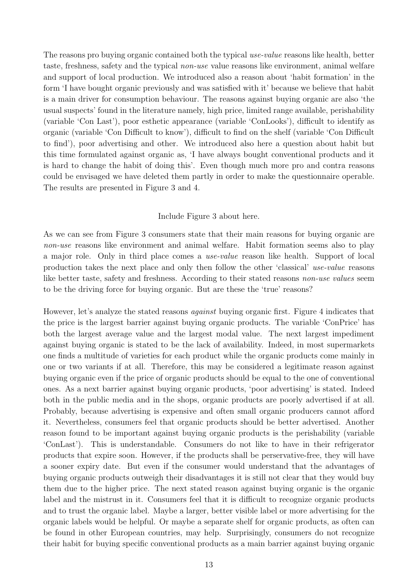The reasons pro buying organic contained both the typical use-value reasons like health, better taste, freshness, safety and the typical non-use value reasons like environment, animal welfare and support of local production. We introduced also a reason about 'habit formation' in the form 'I have bought organic previously and was satisfied with it' because we believe that habit is a main driver for consumption behaviour. The reasons against buying organic are also 'the usual suspects' found in the literature namely, high price, limited range available, perishability (variable 'Con Last'), poor esthetic appearance (variable 'ConLooks'), difficult to identify as organic (variable 'Con Difficult to know'), difficult to find on the shelf (variable 'Con Difficult to find'), poor advertising and other. We introduced also here a question about habit but this time formulated against organic as, 'I have always bought conventional products and it is hard to change the habit of doing this'. Even though much more pro and contra reasons could be envisaged we have deleted them partly in order to make the questionnaire operable. The results are presented in Figure 3 and 4.

#### Include Figure 3 about here.

As we can see from Figure 3 consumers state that their main reasons for buying organic are non-use reasons like environment and animal welfare. Habit formation seems also to play a major role. Only in third place comes a use-value reason like health. Support of local production takes the next place and only then follow the other 'classical' use-value reasons like better taste, safety and freshness. According to their stated reasons non-use values seem to be the driving force for buying organic. But are these the 'true' reasons?

However, let's analyze the stated reasons against buying organic first. Figure 4 indicates that the price is the largest barrier against buying organic products. The variable 'ConPrice' has both the largest average value and the largest modal value. The next largest impediment against buying organic is stated to be the lack of availability. Indeed, in most supermarkets one finds a multitude of varieties for each product while the organic products come mainly in one or two variants if at all. Therefore, this may be considered a legitimate reason against buying organic even if the price of organic products should be equal to the one of conventional ones. As a next barrier against buying organic products, 'poor advertising' is stated. Indeed both in the public media and in the shops, organic products are poorly advertised if at all. Probably, because advertising is expensive and often small organic producers cannot afford it. Nevertheless, consumers feel that organic products should be better advertised. Another reason found to be important against buying organic products is the perishability (variable 'ConLast'). This is understandable. Consumers do not like to have in their refrigerator products that expire soon. However, if the products shall be perservative-free, they will have a sooner expiry date. But even if the consumer would understand that the advantages of buying organic products outweigh their disadvantages it is still not clear that they would buy them due to the higher price. The next stated reason against buying organic is the organic label and the mistrust in it. Consumers feel that it is difficult to recognize organic products and to trust the organic label. Maybe a larger, better visible label or more advertising for the organic labels would be helpful. Or maybe a separate shelf for organic products, as often can be found in other European countries, may help. Surprisingly, consumers do not recognize their habit for buying specific conventional products as a main barrier against buying organic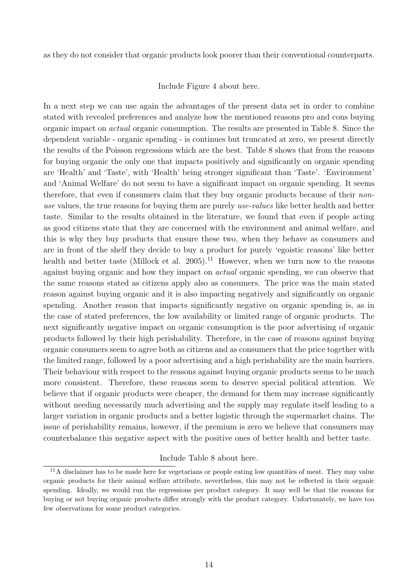as they do not consider that organic products look poorer than their conventional counterparts.

Include Figure 4 about here.

In a next step we can use again the advantages of the present data set in order to combine stated with revealed preferences and analyze how the mentioned reasons pro and cons buying organic impact on actual organic consumption. The results are presented in Table 8. Since the dependent variable - organic spending - is continues but truncated at zero, we present directly the results of the Poisson regressions which are the best. Table 8 shows that from the reasons for buying organic the only one that impacts positively and significantly on organic spending are 'Health' and 'Taste', with 'Health' being stronger significant than 'Taste'. 'Environment' and 'Animal Welfare' do not seem to have a significant impact on organic spending. It seems therefore, that even if consumers claim that they buy organic products because of their nonuse values, the true reasons for buying them are purely use-values like better health and better taste. Similar to the results obtained in the literature, we found that even if people acting as good citizens state that they are concerned with the environment and animal welfare, and this is why they buy products that ensure these two, when they behave as consumers and are in front of the shelf they decide to buy a product for purely 'egoistic reasons' like better health and better taste (Millock et al. 2005).<sup>11</sup> However, when we turn now to the reasons against buying organic and how they impact on actual organic spending, we can observe that the same reasons stated as citizens apply also as consumers. The price was the main stated reason against buying organic and it is also impacting negatively and significantly on organic spending. Another reason that impacts significantly negative on organic spending is, as in the case of stated preferences, the low availability or limited range of organic products. The next significantly negative impact on organic consumption is the poor advertising of organic products followed by their high perishability. Therefore, in the case of reasons against buying organic consumers seem to agree both as citizens and as consumers that the price together with the limited range, followed by a poor advertising and a high perishability are the main barriers. Their behaviour with respect to the reasons against buying organic products seems to be much more consistent. Therefore, these reasons seem to deserve special political attention. We believe that if organic products were cheaper, the demand for them may increase significantly without needing necessarily much advertising and the supply may regulate itself leading to a larger variation in organic products and a better logistic through the supermarket chains. The issue of perishability remains, however, if the premium is zero we believe that consumers may counterbalance this negative aspect with the positive ones of better health and better taste.

#### Include Table 8 about here.

<sup>&</sup>lt;sup>11</sup>A disclaimer has to be made here for vegetarians or people eating low quantities of meat. They may value organic products for their animal welfare attribute, nevertheless, this may not be reflected in their organic spending. Ideally, we would run the regressions per product category. It may well be that the reasons for buying or not buying organic products differ strongly with the product category. Unfortunately, we have too few observations for some product categories.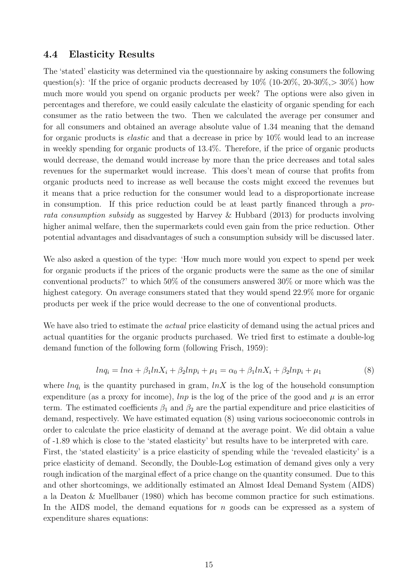#### 4.4 Elasticity Results

The 'stated' elasticity was determined via the questionnaire by asking consumers the following question(s): 'If the price of organic products decreased by  $10\%$  (10-20\%, 20-30\%), $> 30\%$ ) how much more would you spend on organic products per week? The options were also given in percentages and therefore, we could easily calculate the elasticity of organic spending for each consumer as the ratio between the two. Then we calculated the average per consumer and for all consumers and obtained an average absolute value of 1.34 meaning that the demand for organic products is elastic and that a decrease in price by 10% would lead to an increase in weekly spending for organic products of 13.4%. Therefore, if the price of organic products would decrease, the demand would increase by more than the price decreases and total sales revenues for the supermarket would increase. This does't mean of course that profits from organic products need to increase as well because the costs might exceed the revenues but it means that a price reduction for the consumer would lead to a disproportionate increase in consumption. If this price reduction could be at least partly financed through a prorata consumption subsidy as suggested by Harvey & Hubbard (2013) for products involving higher animal welfare, then the supermarkets could even gain from the price reduction. Other potential advantages and disadvantages of such a consumption subsidy will be discussed later.

We also asked a question of the type: 'How much more would you expect to spend per week for organic products if the prices of the organic products were the same as the one of similar conventional products?' to which 50% of the consumers answered 30% or more which was the highest category. On average consumers stated that they would spend  $22.9\%$  more for organic products per week if the price would decrease to the one of conventional products.

We have also tried to estimate the *actual* price elasticity of demand using the actual prices and actual quantities for the organic products purchased. We tried first to estimate a double-log demand function of the following form (following Frisch, 1959):

$$
ln q_i = ln \alpha + \beta_1 ln X_i + \beta_2 ln p_i + \mu_1 = \alpha_0 + \beta_1 ln X_i + \beta_2 ln p_i + \mu_1
$$
\n(8)

where  $lnq_i$  is the quantity purchased in gram,  $lnX$  is the log of the household consumption expenditure (as a proxy for income), lnp is the log of the price of the good and  $\mu$  is an error term. The estimated coefficients  $\beta_1$  and  $\beta_2$  are the partial expenditure and price elasticities of demand, respectively. We have estimated equation (8) using various socioeconomic controls in order to calculate the price elasticity of demand at the average point. We did obtain a value of -1.89 which is close to the 'stated elasticity' but results have to be interpreted with care. First, the 'stated elasticity' is a price elasticity of spending while the 'revealed elasticity' is a price elasticity of demand. Secondly, the Double-Log estimation of demand gives only a very rough indication of the marginal effect of a price change on the quantity consumed. Due to this and other shortcomings, we additionally estimated an Almost Ideal Demand System (AIDS) a la Deaton & Muellbauer (1980) which has become common practice for such estimations. In the AIDS model, the demand equations for  $n$  goods can be expressed as a system of expenditure shares equations: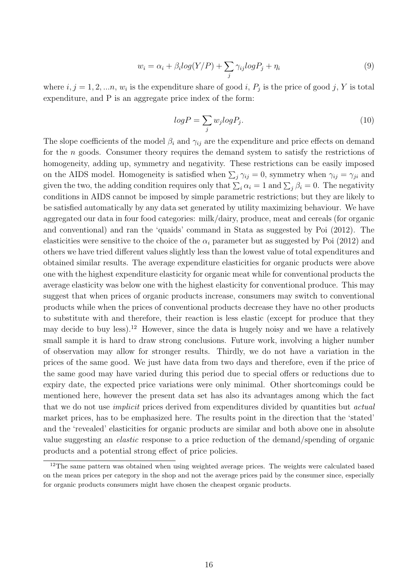$$
w_i = \alpha_i + \beta_i \log(Y/P) + \sum_j \gamma_{ij} \log P_j + \eta_i \tag{9}
$$

where  $i, j = 1, 2, \ldots n$ ,  $w_i$  is the expenditure share of good i,  $P_j$  is the price of good j, Y is total expenditure, and P is an aggregate price index of the form:

$$
logP = \sum_{j} w_j logP_j.
$$
\n(10)

The slope coefficients of the model  $\beta_i$  and  $\gamma_{ij}$  are the expenditure and price effects on demand for the n goods. Consumer theory requires the demand system to satisfy the restrictions of homogeneity, adding up, symmetry and negativity. These restrictions can be easily imposed on the AIDS model. Homogeneity is satisfied when  $\sum_j \gamma_{ij} = 0$ , symmetry when  $\gamma_{ij} = \gamma_{ji}$  and given the two, the adding condition requires only that  $\sum_i \alpha_i = 1$  and  $\sum_j \beta_i = 0$ . The negativity conditions in AIDS cannot be imposed by simple parametric restrictions; but they are likely to be satisfied automatically by any data set generated by utility maximizing behaviour. We have aggregated our data in four food categories: milk/dairy, produce, meat and cereals (for organic and conventional) and ran the 'quaids' command in Stata as suggested by Poi (2012). The elasticities were sensitive to the choice of the  $\alpha_i$  parameter but as suggested by Poi (2012) and others we have tried different values slightly less than the lowest value of total expenditures and obtained similar results. The average expenditure elasticities for organic products were above one with the highest expenditure elasticity for organic meat while for conventional products the average elasticity was below one with the highest elasticity for conventional produce. This may suggest that when prices of organic products increase, consumers may switch to conventional products while when the prices of conventional products decrease they have no other products to substitute with and therefore, their reaction is less elastic (except for produce that they may decide to buy less).<sup>12</sup> However, since the data is hugely noisy and we have a relatively small sample it is hard to draw strong conclusions. Future work, involving a higher number of observation may allow for stronger results. Thirdly, we do not have a variation in the prices of the same good. We just have data from two days and therefore, even if the price of the same good may have varied during this period due to special offers or reductions due to expiry date, the expected price variations were only minimal. Other shortcomings could be mentioned here, however the present data set has also its advantages among which the fact that we do not use *implicit* prices derived from expenditures divided by quantities but *actual* market prices, has to be emphasized here. The results point in the direction that the 'stated' and the 'revealed' elasticities for organic products are similar and both above one in absolute value suggesting an elastic response to a price reduction of the demand/spending of organic products and a potential strong effect of price policies.

 $12$ The same pattern was obtained when using weighted average prices. The weights were calculated based on the mean prices per category in the shop and not the average prices paid by the consumer since, especially for organic products consumers might have chosen the cheapest organic products.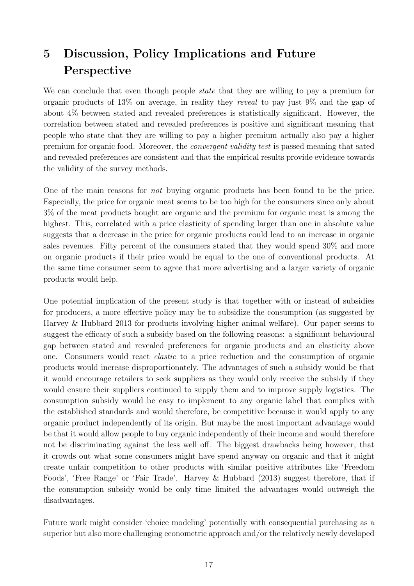## 5 Discussion, Policy Implications and Future Perspective

We can conclude that even though people *state* that they are willing to pay a premium for organic products of 13% on average, in reality they reveal to pay just 9% and the gap of about 4% between stated and revealed preferences is statistically significant. However, the correlation between stated and revealed preferences is positive and significant meaning that people who state that they are willing to pay a higher premium actually also pay a higher premium for organic food. Moreover, the convergent validity test is passed meaning that sated and revealed preferences are consistent and that the empirical results provide evidence towards the validity of the survey methods.

One of the main reasons for not buying organic products has been found to be the price. Especially, the price for organic meat seems to be too high for the consumers since only about 3% of the meat products bought are organic and the premium for organic meat is among the highest. This, correlated with a price elasticity of spending larger than one in absolute value suggests that a decrease in the price for organic products could lead to an increase in organic sales revenues. Fifty percent of the consumers stated that they would spend 30% and more on organic products if their price would be equal to the one of conventional products. At the same time consumer seem to agree that more advertising and a larger variety of organic products would help.

One potential implication of the present study is that together with or instead of subsidies for producers, a more effective policy may be to subsidize the consumption (as suggested by Harvey & Hubbard 2013 for products involving higher animal welfare). Our paper seems to suggest the efficacy of such a subsidy based on the following reasons: a significant behavioural gap between stated and revealed preferences for organic products and an elasticity above one. Consumers would react elastic to a price reduction and the consumption of organic products would increase disproportionately. The advantages of such a subsidy would be that it would encourage retailers to seek suppliers as they would only receive the subsidy if they would ensure their suppliers continued to supply them and to improve supply logistics. The consumption subsidy would be easy to implement to any organic label that complies with the established standards and would therefore, be competitive because it would apply to any organic product independently of its origin. But maybe the most important advantage would be that it would allow people to buy organic independently of their income and would therefore not be discriminating against the less well off. The biggest drawbacks being however, that it crowds out what some consumers might have spend anyway on organic and that it might create unfair competition to other products with similar positive attributes like 'Freedom Foods', 'Free Range' or 'Fair Trade'. Harvey & Hubbard (2013) suggest therefore, that if the consumption subsidy would be only time limited the advantages would outweigh the disadvantages.

Future work might consider 'choice modeling' potentially with consequential purchasing as a superior but also more challenging econometric approach and/or the relatively newly developed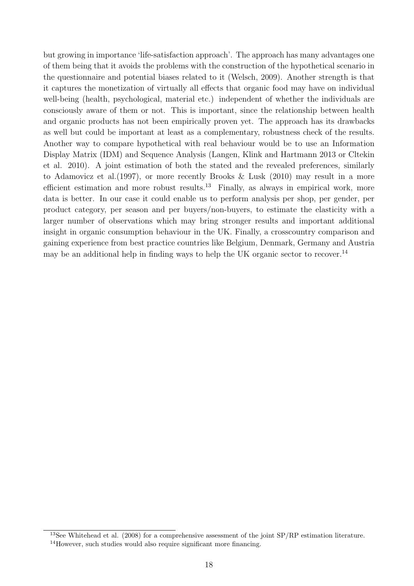but growing in importance 'life-satisfaction approach'. The approach has many advantages one of them being that it avoids the problems with the construction of the hypothetical scenario in the questionnaire and potential biases related to it (Welsch, 2009). Another strength is that it captures the monetization of virtually all effects that organic food may have on individual well-being (health, psychological, material etc.) independent of whether the individuals are consciously aware of them or not. This is important, since the relationship between health and organic products has not been empirically proven yet. The approach has its drawbacks as well but could be important at least as a complementary, robustness check of the results. Another way to compare hypothetical with real behaviour would be to use an Information Display Matrix (IDM) and Sequence Analysis (Langen, Klink and Hartmann 2013 or Cltekin et al. 2010). A joint estimation of both the stated and the revealed preferences, similarly to Adamovicz et al.(1997), or more recently Brooks & Lusk (2010) may result in a more efficient estimation and more robust results.<sup>13</sup> Finally, as always in empirical work, more data is better. In our case it could enable us to perform analysis per shop, per gender, per product category, per season and per buyers/non-buyers, to estimate the elasticity with a larger number of observations which may bring stronger results and important additional insight in organic consumption behaviour in the UK. Finally, a crosscountry comparison and gaining experience from best practice countries like Belgium, Denmark, Germany and Austria may be an additional help in finding ways to help the UK organic sector to recover.<sup>14</sup>

<sup>&</sup>lt;sup>13</sup>See Whitehead et al. (2008) for a comprehensive assessment of the joint  $SP/RP$  estimation literature. <sup>14</sup>However, such studies would also require significant more financing.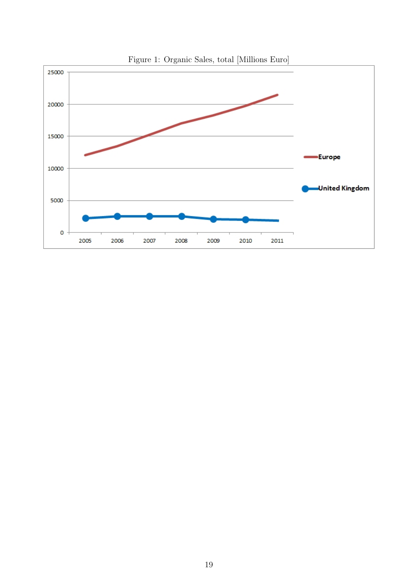

Figure 1: Organic Sales, total [Millions Euro]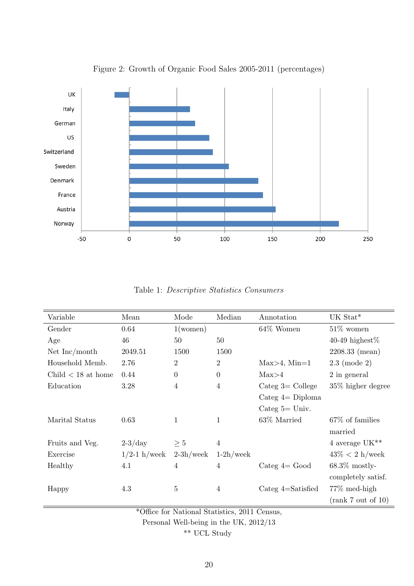

Figure 2: Growth of Organic Food Sales 2005-2011 (percentages)

Table 1: Descriptive Statistics Consumers

| Variable             | Mean           | Mode              | Median         | Annotation            | UK Stat*                  |
|----------------------|----------------|-------------------|----------------|-----------------------|---------------------------|
| Gender               | 0.64           | $1(\text{women})$ |                | 64% Women             | $51\%$ women              |
| Age                  | 46             | 50                | 50             |                       | 40-49 highest $%$         |
| Net Inc/month        | 2049.51        | 1500              | 1500           |                       | $2208.33$ (mean)          |
| Household Memb.      | 2.76           | $\overline{2}$    | $\overline{2}$ | $Max>4$ , $Min=1$     | $2.3 \pmod{2}$            |
| Child $<$ 18 at home | 0.44           | $\boldsymbol{0}$  | $\overline{0}$ | Max>4                 | 2 in general              |
| Education            | 3.28           | $\overline{4}$    | $\overline{4}$ | Categ $3=$ College    | $35\%$ higher degree      |
|                      |                |                   |                | Categ $4=$ Diploma    |                           |
|                      |                |                   |                | Categ $5 =$ Univ.     |                           |
| Marital Status       | 0.63           | $\mathbf{1}$      | $\mathbf{1}$   | 63\% Married          | $67\%$ of families        |
|                      |                |                   |                |                       | married                   |
| Fruits and Veg.      | $2-3/day$      | $\geq 5$          | $\overline{4}$ |                       | 4 average UK**            |
| Exercise             | $1/2-1$ h/week | $2-3h$ /week      | $1-2h$ /week   |                       | $43\% < 2 \text{ h/week}$ |
| Healthy              | 4.1            | $\overline{4}$    | $\overline{4}$ | Categ $4=$ Good       | $68.3\%$ mostly-          |
|                      |                |                   |                |                       | completely satisf.        |
| Happy                | 4.3            | $\overline{5}$    | $\overline{4}$ | Categ $4 =$ Satisfied | $77\%$ med-high           |
|                      |                |                   |                |                       | (rank 7 out of 10)        |

\*Office for National Statistics, 2011 Census,

Personal Well-being in the UK, 2012/13

\*\* UCL Study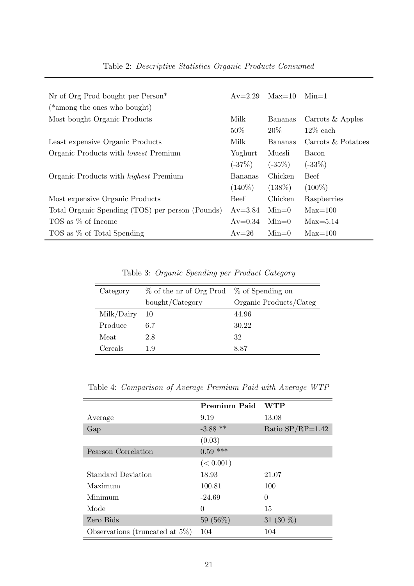| Nr of Org Prod bought per Person*<br>(*among the ones who bought) | $Av = 2.29$    | $Max=10$          | $Min=1$                           |
|-------------------------------------------------------------------|----------------|-------------------|-----------------------------------|
| Most bought Organic Products                                      | Milk<br>$50\%$ | Bananas<br>$20\%$ | Carrots $&$ Apples<br>$12\%$ each |
| Least expensive Organic Products                                  | Milk           | Bananas           | Carrots $\&$ Potatoes             |
| Organic Products with <i>lowest</i> Premium                       | Yoghurt        | Muesli            | Bacon                             |
|                                                                   | $(-37%)$       | $(-35%)$          | $(-33%)$                          |
| Organic Products with <i>highest</i> Premium                      | Bananas        | Chicken           | <b>Beef</b>                       |
|                                                                   | $(140\%)$      | $(138\%)$         | $(100\%)$                         |
| Most expensive Organic Products                                   | <b>Beef</b>    | Chicken           | Raspberries                       |
| Total Organic Spending (TOS) per person (Pounds)                  | $Av = 3.84$    | $Min=0$           | $Max=100$                         |
| TOS as % of Income                                                | $Av = 0.34$    | $Min=0$           | $Max=5.14$                        |
| TOS as % of Total Spending                                        | $Av = 26$      | $Min=0$           | $Max=100$                         |

Table 3: Organic Spending per Product Category

| Category   | $\%$ of the nr of Org Prod $\%$ of Spending on |                        |
|------------|------------------------------------------------|------------------------|
|            | bought/Category                                | Organic Products/Categ |
| Milk/Dairy | 10                                             | 44.96                  |
| Produce    | 6.7                                            | 30.22                  |
| Meat       | 2.8                                            | 32                     |
| Cereals    | 1.9                                            | 8.87                   |

Table 4: Comparison of Average Premium Paid with Average WTP

|                                    | <b>Premium Paid</b> | <b>WTP</b>         |
|------------------------------------|---------------------|--------------------|
| Average                            | 9.19                | 13.08              |
| Gap                                | $-3.88$ **          | Ratio $SP/RP=1.42$ |
|                                    | (0.03)              |                    |
| Pearson Correlation                | $0.59$ ***          |                    |
|                                    | (< 0.001)           |                    |
| <b>Standard Deviation</b>          | 18.93               | 21.07              |
| Maximum                            | 100.81              | 100                |
| Minimum                            | $-24.69$            | $\Omega$           |
| Mode                               | $\Omega$            | 15                 |
| Zero Bids                          | 59 (56%)            | 31 $(30\%)$        |
| Observations (truncated at $5\%$ ) | 104                 | 104                |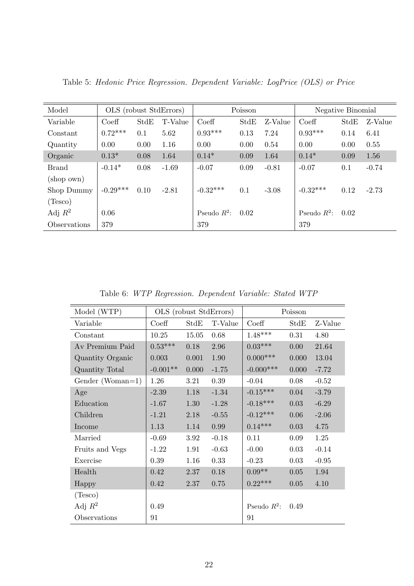| Model        | OLS (robust StdErrors) |      |         | Poisson        |      | Negative Binomial |                |      |         |
|--------------|------------------------|------|---------|----------------|------|-------------------|----------------|------|---------|
| Variable     | Coeff                  | StdE | T-Value | Coeff          | StdE | Z-Value           | Coeff          | StdE | Z-Value |
| Constant     | $0.72***$              | 0.1  | 5.62    | $0.93***$      | 0.13 | 7.24              | $0.93***$      | 0.14 | 6.41    |
| Quantity     | 0.00                   | 0.00 | 1.16    | 0.00           | 0.00 | 0.54              | 0.00           | 0.00 | 0.55    |
| Organic      | $0.13*$                | 0.08 | 1.64    | $0.14*$        | 0.09 | 1.64              | $0.14*$        | 0.09 | 1.56    |
| <b>Brand</b> | $-0.14*$               | 0.08 | $-1.69$ | $-0.07$        | 0.09 | $-0.81$           | $-0.07$        | 0.1  | $-0.74$ |
| (shop own)   |                        |      |         |                |      |                   |                |      |         |
| Shop Dummy   | $-0.29***$             | 0.10 | $-2.81$ | $-0.32***$     | 0.1  | $-3.08$           | $-0.32***$     | 0.12 | $-2.73$ |
| (Tesco)      |                        |      |         |                |      |                   |                |      |         |
| Adj $R^2$    | 0.06                   |      |         | Pseudo $R^2$ : | 0.02 |                   | Pseudo $R^2$ : | 0.02 |         |
| Observations | 379                    |      |         | 379            |      |                   | 379            |      |         |

Table 5: Hedonic Price Regression. Dependent Variable: LogPrice (OLS) or Price

Table 6: WTP Regression. Dependent Variable: Stated WTP

| Model (WTP)      |            |       | OLS (robust StdErrors) |                  | Poisson               |         |
|------------------|------------|-------|------------------------|------------------|-----------------------|---------|
| Variable         | Coeff      | StdE  | T-Value                | $\mathrm{Coeff}$ | $\operatorname{StdE}$ | Z-Value |
| Constant         | 10.25      | 15.05 | 0.68                   | $1.48***$        | 0.31                  | 4.80    |
| Av Premium Paid  | $0.53***$  | 0.18  | 2.96                   | $0.03***$        | 0.00                  | 21.64   |
| Quantity Organic | 0.003      | 0.001 | 1.90                   | $0.000***$       | 0.000                 | 13.04   |
| Quantity Total   | $-0.001**$ | 0.000 | $-1.75$                | $-0.000***$      | 0.000                 | $-7.72$ |
| Gender (Woman=1) | 1.26       | 3.21  | 0.39                   | $-0.04$          | 0.08                  | $-0.52$ |
| Age              | $-2.39$    | 1.18  | $-1.34$                | $-0.15***$       | 0.04                  | $-3.79$ |
| Education        | $-1.67$    | 1.30  | $-1.28$                | $-0.18***$       | 0.03                  | $-6.29$ |
| Children         | $-1.21$    | 2.18  | $-0.55$                | $-0.12***$       | 0.06                  | $-2.06$ |
| Income           | 1.13       | 1.14  | 0.99                   | $0.14***$        | 0.03                  | 4.75    |
| Married          | $-0.69$    | 3.92  | $-0.18$                | 0.11             | 0.09                  | 1.25    |
| Fruits and Vegs  | $-1.22$    | 1.91  | $-0.63$                | $-0.00$          | 0.03                  | $-0.14$ |
| Exercise         | 0.39       | 1.16  | 0.33                   | $-0.23$          | 0.03                  | $-0.95$ |
| Health           | 0.42       | 2.37  | 0.18                   | $0.09**$         | $0.05\,$              | 1.94    |
| Happy            | 0.42       | 2.37  | 0.75                   | $0.22***$        | 0.05                  | 4.10    |
| (Tesco)          |            |       |                        |                  |                       |         |
| Adj $R^2$        | 0.49       |       |                        | Pseudo $R^2$ :   | 0.49                  |         |
| Observations     | 91         |       |                        | 91               |                       |         |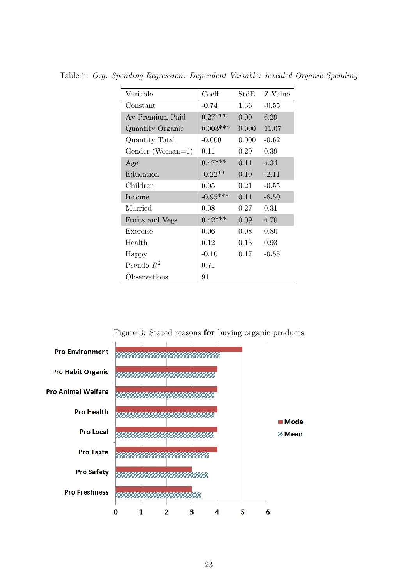| Variable         | Coeff      | $\operatorname{StdE}$ | Z-Value |
|------------------|------------|-----------------------|---------|
| Constant         | $-0.74$    | 1.36                  | $-0.55$ |
| Av Premium Paid  | $0.27***$  | 0.00                  | 6.29    |
| Quantity Organic | $0.003***$ | 0.000                 | 11.07   |
| Quantity Total   | $-0.000$   | 0.000                 | $-0.62$ |
| Gender (Woman=1) | 0.11       | 0.29                  | 0.39    |
| Age              | $0.47***$  | 0.11                  | 4.34    |
| Education        | $-0.22**$  | 0.10                  | $-2.11$ |
| Children         | 0.05       | $0.21\,$              | $-0.55$ |
| Income           | $-0.95***$ | 0.11                  | $-8.50$ |
| Married          | 0.08       | 0.27                  | 0.31    |
| Fruits and Vegs  | $0.42***$  | 0.09                  | 4.70    |
| Exercise         | 0.06       | 0.08                  | 0.80    |
| Health           | 0.12       | 0.13                  | 0.93    |
| Happy            | $-0.10$    | 0.17                  | $-0.55$ |
| Pseudo $R^2$     | 0.71       |                       |         |
| Observations     | 91         |                       |         |

Table 7: Org. Spending Regression. Dependent Variable: revealed Organic Spending



Figure 3: Stated reasons for buying organic products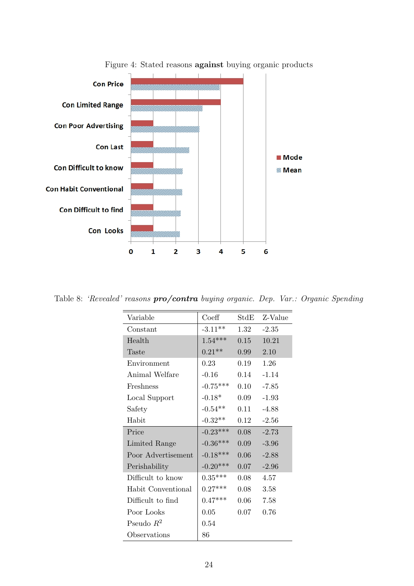

Figure 4: Stated reasons against buying organic products

Table 8: 'Revealed' reasons **pro/contra** buying organic. Dep. Var.: Organic Spending

| Variable           | Coeff      | StdE     | Z-Value |
|--------------------|------------|----------|---------|
| Constant           | $-3.11**$  | 1.32     | $-2.35$ |
| Health             | $1.54***$  | 0.15     | 10.21   |
| Taste              | $0.21**$   | 0.99     | 2.10    |
| Environment        | 0.23       | 0.19     | 1.26    |
| Animal Welfare     | $-0.16$    | $0.14\,$ | $-1.14$ |
| Freshness          | $-0.75***$ | $0.10\,$ | $-7.85$ |
| Local Support      | $-0.18*$   | 0.09     | $-1.93$ |
| Safety             | $-0.54**$  | 0.11     | $-4.88$ |
| Habit              | $-0.32**$  | 0.12     | $-2.56$ |
| Price              | $-0.23***$ | 0.08     | $-2.73$ |
| Limited Range      | $-0.36***$ | 0.09     | $-3.96$ |
| Poor Advertisement | $-0.18***$ | 0.06     | $-2.88$ |
| Perishability      | $-0.20***$ | 0.07     | $-2.96$ |
| Difficult to know  | $0.35***$  | 0.08     | 4.57    |
| Habit Conventional | $0.27***$  | 0.08     | 3.58    |
| Difficult to find  | $0.47***$  | 0.06     | 7.58    |
| Poor Looks         | 0.05       | 0.07     | 0.76    |
| Pseudo $R^2$       | 0.54       |          |         |
| Observations       | 86         |          |         |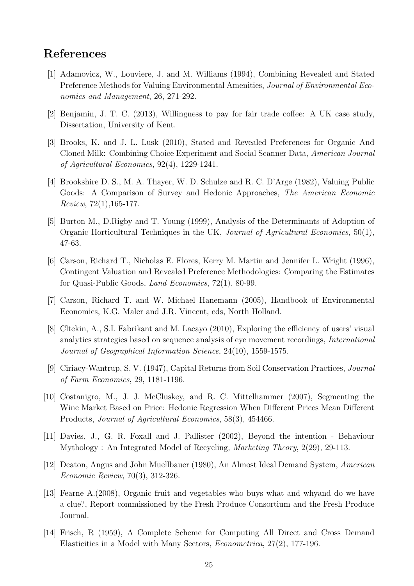## References

- [1] Adamovicz, W., Louviere, J. and M. Williams (1994), Combining Revealed and Stated Preference Methods for Valuing Environmental Amenities, Journal of Environmental Economics and Management, 26, 271-292.
- [2] Benjamin, J. T. C. (2013), Willingness to pay for fair trade coffee: A UK case study, Dissertation, University of Kent.
- [3] Brooks, K. and J. L. Lusk (2010), Stated and Revealed Preferences for Organic And Cloned Milk: Combining Choice Experiment and Social Scanner Data, American Journal of Agricultural Economics, 92(4), 1229-1241.
- [4] Brookshire D. S., M. A. Thayer, W. D. Schulze and R. C. D'Arge (1982), Valuing Public Goods: A Comparison of Survey and Hedonic Approaches, The American Economic Review, 72(1),165-177.
- [5] Burton M., D.Rigby and T. Young (1999), Analysis of the Determinants of Adoption of Organic Horticultural Techniques in the UK, Journal of Agricultural Economics, 50(1), 47-63.
- [6] Carson, Richard T., Nicholas E. Flores, Kerry M. Martin and Jennifer L. Wright (1996), Contingent Valuation and Revealed Preference Methodologies: Comparing the Estimates for Quasi-Public Goods, Land Economics, 72(1), 80-99.
- [7] Carson, Richard T. and W. Michael Hanemann (2005), Handbook of Environmental Economics, K.G. Maler and J.R. Vincent, eds, North Holland.
- [8] Cltekin, A., S.I. Fabrikant and M. Lacayo (2010), Exploring the efficiency of users' visual analytics strategies based on sequence analysis of eye movement recordings, International Journal of Geographical Information Science, 24(10), 1559-1575.
- [9] Ciriacy-Wantrup, S. V. (1947), Capital Returns from Soil Conservation Practices, Journal of Farm Economics, 29, 1181-1196.
- [10] Costanigro, M., J. J. McCluskey, and R. C. Mittelhammer (2007), Segmenting the Wine Market Based on Price: Hedonic Regression When Different Prices Mean Different Products, Journal of Agricultural Economics, 58(3), 454466.
- [11] Davies, J., G. R. Foxall and J. Pallister (2002), Beyond the intention Behaviour Mythology : An Integrated Model of Recycling, Marketing Theory, 2(29), 29-113.
- [12] Deaton, Angus and John Muellbauer (1980), An Almost Ideal Demand System, American Economic Review, 70(3), 312-326.
- [13] Fearne A.(2008), Organic fruit and vegetables who buys what and whyand do we have a clue?, Report commissioned by the Fresh Produce Consortium and the Fresh Produce Journal.
- [14] Frisch, R (1959), A Complete Scheme for Computing All Direct and Cross Demand Elasticities in a Model with Many Sectors, Econometrica, 27(2), 177-196.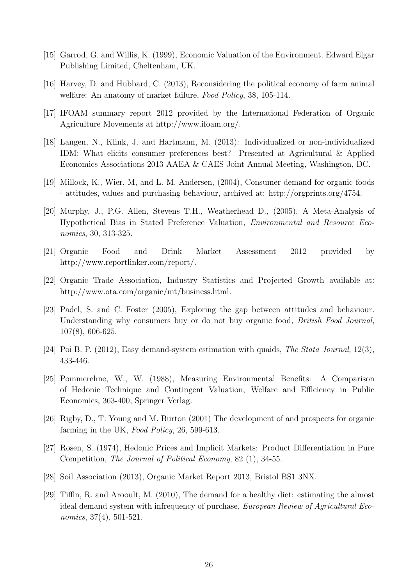- [15] Garrod, G. and Willis, K. (1999), Economic Valuation of the Environment. Edward Elgar Publishing Limited, Cheltenham, UK.
- [16] Harvey, D. and Hubbard, C. (2013), Reconsidering the political economy of farm animal welfare: An anatomy of market failure, *Food Policy*, 38, 105-114.
- [17] IFOAM summary report 2012 provided by the International Federation of Organic Agriculture Movements at http://www.ifoam.org/.
- [18] Langen, N., Klink, J. and Hartmann, M. (2013): Individualized or non-individualized IDM: What elicits consumer preferences best? Presented at Agricultural & Applied Economics Associations 2013 AAEA & CAES Joint Annual Meeting, Washington, DC.
- [19] Millock, K., Wier, M, and L. M. Andersen, (2004), Consumer demand for organic foods - attitudes, values and purchasing behaviour, archived at: http://orgprints.org/4754.
- [20] Murphy, J., P.G. Allen, Stevens T.H., Weatherhead D., (2005), A Meta-Analysis of Hypothetical Bias in Stated Preference Valuation, Environmental and Resource Economics, 30, 313-325.
- [21] Organic Food and Drink Market Assessment 2012 provided by http://www.reportlinker.com/report/.
- [22] Organic Trade Association, Industry Statistics and Projected Growth available at: http://www.ota.com/organic/mt/business.html.
- [23] Padel, S. and C. Foster (2005), Exploring the gap between attitudes and behaviour. Understanding why consumers buy or do not buy organic food, *British Food Journal*, 107(8), 606-625.
- [24] Poi B. P. (2012), Easy demand-system estimation with quaids, The Stata Journal, 12(3), 433-446.
- [25] Pommerehne, W., W. (1988), Measuring Environmental Benefits: A Comparison of Hedonic Technique and Contingent Valuation, Welfare and Efficiency in Public Economics, 363-400, Springer Verlag.
- [26] Rigby, D., T. Young and M. Burton (2001) The development of and prospects for organic farming in the UK, Food Policy, 26, 599-613.
- [27] Rosen, S. (1974), Hedonic Prices and Implicit Markets: Product Differentiation in Pure Competition, The Journal of Political Economy, 82 (1), 34-55.
- [28] Soil Association (2013), Organic Market Report 2013, Bristol BS1 3NX.
- [29] Tiffin, R. and Arooult, M. (2010), The demand for a healthy diet: estimating the almost ideal demand system with infrequency of purchase, European Review of Agricultural Economics, 37(4), 501-521.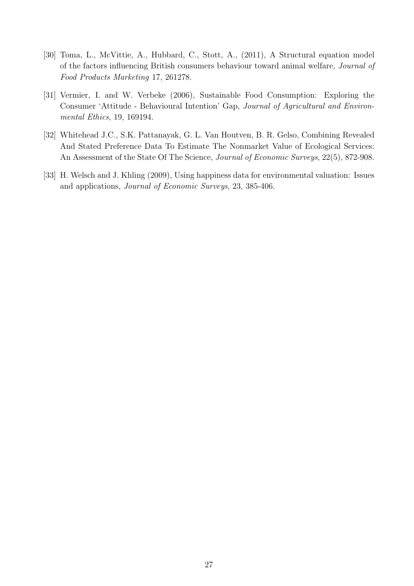- [30] Toma, L., McVittie, A., Hubbard, C., Stott, A., (2011), A Structural equation model of the factors influencing British consumers behaviour toward animal welfare, Journal of Food Products Marketing 17, 261278.
- [31] Vermier, I. and W. Verbeke (2006), Sustainable Food Consumption: Exploring the Consumer 'Attitude - Behavioural Intention' Gap, Journal of Agricultural and Environmental Ethics, 19, 169194.
- [32] Whitehead J.C., S.K. Pattanayak, G. L. Van Houtven, B. R. Gelso, Combining Revealed And Stated Preference Data To Estimate The Nonmarket Value of Ecological Services: An Assessment of the State Of The Science, *Journal of Economic Surveys*, 22(5), 872-908.
- [33] H. Welsch and J. Khling (2009), Using happiness data for environmental valuation: Issues and applications, Journal of Economic Surveys, 23, 385-406.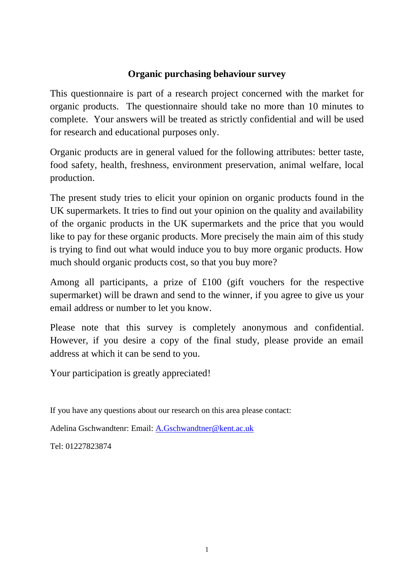## **Organic purchasing behaviour survey**

This questionnaire is part of a research project concerned with the market for organic products. The questionnaire should take no more than 10 minutes to complete. Your answers will be treated as strictly confidential and will be used for research and educational purposes only.

Organic products are in general valued for the following attributes: better taste, food safety, health, freshness, environment preservation, animal welfare, local production.

The present study tries to elicit your opinion on organic products found in the UK supermarkets. It tries to find out your opinion on the quality and availability of the organic products in the UK supermarkets and the price that you would like to pay for these organic products. More precisely the main aim of this study is trying to find out what would induce you to buy more organic products. How much should organic products cost, so that you buy more?

Among all participants, a prize of £100 (gift vouchers for the respective supermarket) will be drawn and send to the winner, if you agree to give us your email address or number to let you know.

Please note that this survey is completely anonymous and confidential. However, if you desire a copy of the final study, please provide an email address at which it can be send to you.

Your participation is greatly appreciated!

If you have any questions about our research on this area please contact:

Adelina Gschwandtenr: Email: A.Gschwandtner@kent.ac.uk

Tel: 01227823874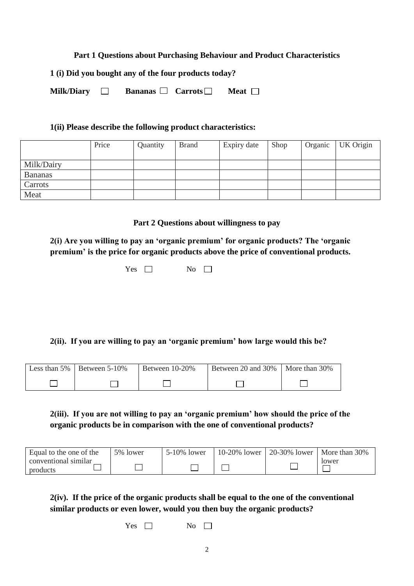#### **Part 1 Questions about Purchasing Behaviour and Product Characteristics**

**1 (i) Did you bought any of the four products today?**

| <b>Milk/Diary</b><br>Carrots<br><b>Bananas</b><br><b>Meat</b> [ |  |
|-----------------------------------------------------------------|--|
|-----------------------------------------------------------------|--|

#### **1(ii) Please describe the following product characteristics:**

|                | Price | Quantity | <b>Brand</b> | Expiry date | Shop | Organic | UK Origin |
|----------------|-------|----------|--------------|-------------|------|---------|-----------|
|                |       |          |              |             |      |         |           |
| Milk/Dairy     |       |          |              |             |      |         |           |
| <b>Bananas</b> |       |          |              |             |      |         |           |
| Carrots        |       |          |              |             |      |         |           |
| Meat           |       |          |              |             |      |         |           |

**Part 2 Questions about willingness to pay**

**2(i) Are you willing to pay an 'organic premium' for organic products? The 'organic premium' is the price for organic products above the price of conventional products.**

 $Yes \Box$  No  $\Box$ 

**2(ii). If you are willing to pay an 'organic premium' how large would this be?**

| Less than $5\%$   Between $5\text{-}10\%$ | Between 10-20% | Between 20 and 30%   More than 30% |  |
|-------------------------------------------|----------------|------------------------------------|--|
|                                           |                |                                    |  |

**2(iii). If you are not willing to pay an 'organic premium' how should the price of the organic products be in comparison with the one of conventional products?**

| Equal to the one of the          | 5% lower | 5-10% lower | $10-20\%$ lower | 20-30% lower   More than $30\%$ |
|----------------------------------|----------|-------------|-----------------|---------------------------------|
| conventional similar<br>products |          |             |                 | Iower                           |

**2(iv). If the price of the organic products shall be equal to the one of the conventional similar products or even lower, would you then buy the organic products?**

 $Yes \Box$  No  $\Box$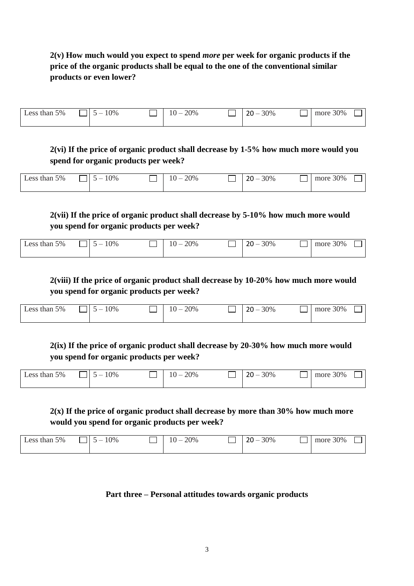## **2(v) How much would you expect to spend** *more* **per week for organic products if the price of the organic products shall be equal to the one of the conventional similar products or even lower?**

| Less than 5% | 10%<br>$\sim$ | 20%<br>$\overline{\phantom{a}}$ | 30%<br>$\sim$<br>$\overline{\phantom{a}}$<br>∠∪ | more 30% |  |
|--------------|---------------|---------------------------------|-------------------------------------------------|----------|--|
|              |               |                                 |                                                 |          |  |

## **2(vi) If the price of organic product shall decrease by 1-5% how much more would you spend for organic products per week?**

| Less than 5% | 10%<br>$\overline{\phantom{a}}$ | 20%<br>$\overline{10}$<br>$10 -$ | 30%<br>วก<br>$\overline{\phantom{0}}$<br>∠∪ | more 30% |  |
|--------------|---------------------------------|----------------------------------|---------------------------------------------|----------|--|
|              |                                 |                                  |                                             |          |  |

**2(vii) If the price of organic product shall decrease by 5-10% how much more would you spend for organic products per week?**

| 5%<br>10%<br>$\triangle$ cc<br>than<br>- |  | 20%<br>. – | 30%<br>ີ | 30%<br>more |  |
|------------------------------------------|--|------------|----------|-------------|--|
|------------------------------------------|--|------------|----------|-------------|--|

**2(viii) If the price of organic product shall decrease by 10-20% how much more would you spend for organic products per week?**

| Less than 5% | 10%<br>- | 20%<br>$\overline{\phantom{a}}$ | 30%<br>ີ | 30%<br>more |  |
|--------------|----------|---------------------------------|----------|-------------|--|
|              |          |                                 |          |             |  |

**2(ix) If the price of organic product shall decrease by 20-30% how much more would you spend for organic products per week?**

| Less than 5% | 10%<br>$\overline{\phantom{a}}$ | 20%<br>$10 -$ | 30%<br>ົາດ<br>$\overline{\phantom{0}}$<br>∠∪ | more 30% |  |
|--------------|---------------------------------|---------------|----------------------------------------------|----------|--|
|              |                                 |               |                                              |          |  |

## **2(x) If the price of organic product shall decrease by more than 30% how much more would you spend for organic products per week?**

| 10%<br>5%<br>Less than '<br>$\overline{\phantom{a}}$ | 20%<br>$\overline{\phantom{a}}$ | 30%<br>ົ | 30%<br>more |
|------------------------------------------------------|---------------------------------|----------|-------------|
|------------------------------------------------------|---------------------------------|----------|-------------|

## **Part three – Personal attitudes towards organic products**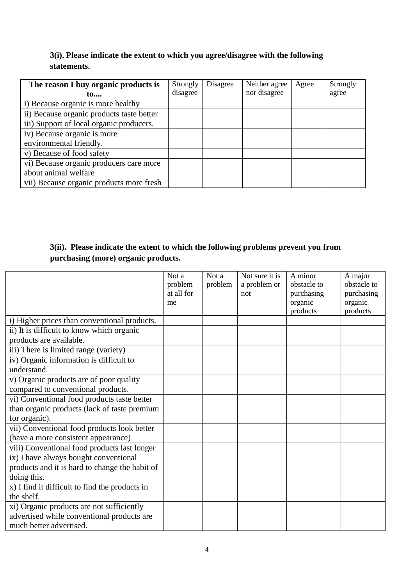## **3(i). Please indicate the extent to which you agree/disagree with the following statements.**

| The reason I buy organic products is      | Strongly | Disagree | Neither agree | Agree | Strongly |
|-------------------------------------------|----------|----------|---------------|-------|----------|
| 10                                        | disagree |          | nor disagree  |       | agree    |
| i) Because organic is more healthy        |          |          |               |       |          |
| ii) Because organic products taste better |          |          |               |       |          |
| iii) Support of local organic producers.  |          |          |               |       |          |
| iv) Because organic is more               |          |          |               |       |          |
| environmental friendly.                   |          |          |               |       |          |
| v) Because of food safety                 |          |          |               |       |          |
| vi) Because organic producers care more   |          |          |               |       |          |
| about animal welfare                      |          |          |               |       |          |
| vii) Because organic products more fresh  |          |          |               |       |          |

## **3(ii). Please indicate the extent to which the following problems prevent you from purchasing (more) organic products.**

|                                                | Not a      | Not a   | Not sure it is | A minor     | A major     |
|------------------------------------------------|------------|---------|----------------|-------------|-------------|
|                                                | problem    | problem | a problem or   | obstacle to | obstacle to |
|                                                | at all for |         | not            | purchasing  | purchasing  |
|                                                | me         |         |                | organic     | organic     |
|                                                |            |         |                | products    | products    |
| i) Higher prices than conventional products.   |            |         |                |             |             |
| ii) It is difficult to know which organic      |            |         |                |             |             |
| products are available.                        |            |         |                |             |             |
| iii) There is limited range (variety)          |            |         |                |             |             |
| iv) Organic information is difficult to        |            |         |                |             |             |
| understand.                                    |            |         |                |             |             |
| v) Organic products are of poor quality        |            |         |                |             |             |
| compared to conventional products.             |            |         |                |             |             |
| vi) Conventional food products taste better    |            |         |                |             |             |
| than organic products (lack of taste premium   |            |         |                |             |             |
| for organic).                                  |            |         |                |             |             |
| vii) Conventional food products look better    |            |         |                |             |             |
| (have a more consistent appearance)            |            |         |                |             |             |
| viii) Conventional food products last longer   |            |         |                |             |             |
| ix) I have always bought conventional          |            |         |                |             |             |
| products and it is hard to change the habit of |            |         |                |             |             |
| doing this.                                    |            |         |                |             |             |
| x) I find it difficult to find the products in |            |         |                |             |             |
| the shelf.                                     |            |         |                |             |             |
| xi) Organic products are not sufficiently      |            |         |                |             |             |
| advertised while conventional products are     |            |         |                |             |             |
| much better advertised.                        |            |         |                |             |             |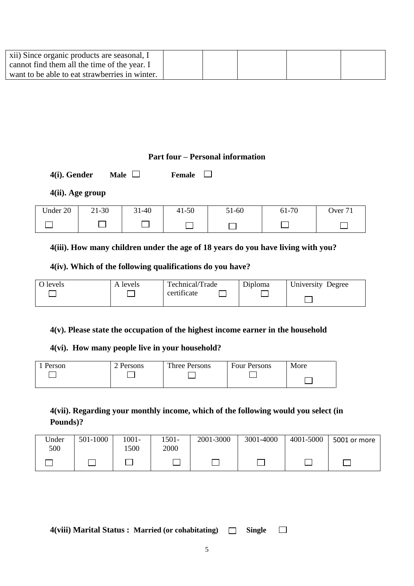| xii) Since organic products are seasonal, I    |  |  |  |
|------------------------------------------------|--|--|--|
| cannot find them all the time of the year. I   |  |  |  |
| want to be able to eat strawberries in winter. |  |  |  |

## **Part four – Personal information**

**4(i).** Gender **Male** □ **Female** □

## **4(ii). Age group**

| Under 20<br>$\mathbf{v}$ | $21 - 30$ | $31 - 40$ | $41 - 50$ | 51-60 | 61-70 | $\overline{ }$<br>) ver |
|--------------------------|-----------|-----------|-----------|-------|-------|-------------------------|
|                          |           |           |           |       |       |                         |

## **4(iii). How many children under the age of 18 years do you have living with you?**

## **4(iv). Which of the following qualifications do you have?**

| O levels | A levels | Technical/Trade | Diploma | University Degree |
|----------|----------|-----------------|---------|-------------------|
|          |          | certificate     |         |                   |

## **4(v). Please state the occupation of the highest income earner in the household**

#### **4(vi). How many people live in your household?**

| Person | 2 Persons | Three Persons | <b>Four Persons</b> | More |
|--------|-----------|---------------|---------------------|------|
|        |           |               |                     |      |

## **4(vii). Regarding your monthly income, which of the following would you select (in Pounds)?**

| Under<br>500 | 501-1000 | 1001-<br>500 | !501-<br>2000 | 2001-3000 | 3001-4000 | 4001-5000 | 5001 or more |
|--------------|----------|--------------|---------------|-----------|-----------|-----------|--------------|
|              |          |              |               |           |           |           |              |

**4(viii) Marital Status : Married (or cohabitating) Single** $\Box$